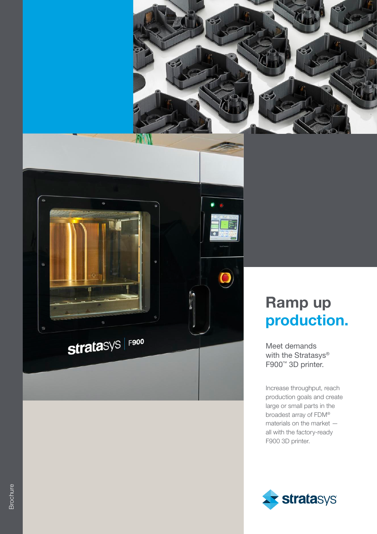

Ramp up production.

Meet demands with the Stratasys® F900™ 3D printer.

Increase throughput, reach production goals and create large or small parts in the broadest array of FDM® materials on the market all with the factory-ready F900 3D printer.

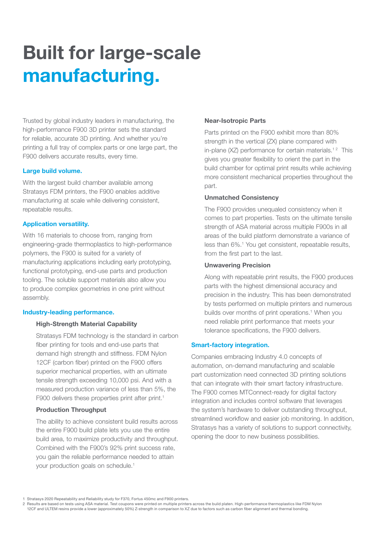# Built for large-scale manufacturing.

Trusted by global industry leaders in manufacturing, the high-performance F900 3D printer sets the standard for reliable, accurate 3D printing. And whether you're printing a full tray of complex parts or one large part, the F900 delivers accurate results, every time.

#### Large build volume.

With the largest build chamber available among Stratasys FDM printers, the F900 enables additive manufacturing at scale while delivering consistent, repeatable results.

#### Application versatility.

With 16 materials to choose from, ranging from engineering-grade thermoplastics to high-performance polymers, the F900 is suited for a variety of manufacturing applications including early prototyping, functional prototyping, end-use parts and production tooling. The soluble support materials also allow you to produce complex geometries in one print without assembly.

#### Industry-leading performance.

#### High-Strength Material Capability

Stratasys FDM technology is the standard in carbon fiber printing for tools and end-use parts that demand high strength and stiffness. FDM Nylon 12CF (carbon fiber) printed on the F900 offers superior mechanical properties, with an ultimate tensile strength exceeding 10,000 psi. And with a measured production variance of less than 5%, the F900 delivers these properties print after print.<sup>1</sup>

#### Production Throughput

The ability to achieve consistent build results across the entire F900 build plate lets you use the entire build area, to maximize productivity and throughput. Combined with the F900's 92% print success rate, you gain the reliable performance needed to attain your production goals on schedule.<sup>1</sup>

### Near-Isotropic Parts

Parts printed on the F900 exhibit more than 80% strength in the vertical (ZX) plane compared with in-plane  $(XZ)$  performance for certain materials.<sup>12</sup> This gives you greater flexibility to orient the part in the build chamber for optimal print results while achieving more consistent mechanical properties throughout the part.

### Unmatched Consistency

The F900 provides unequaled consistency when it comes to part properties. Tests on the ultimate tensile strength of ASA material across multiple F900s in all areas of the build platform demonstrate a variance of less than 6%.1 You get consistent, repeatable results, from the first part to the last.

### Unwavering Precision

Along with repeatable print results, the F900 produces parts with the highest dimensional accuracy and precision in the industry. This has been demonstrated by tests performed on multiple printers and numerous builds over months of print operations.<sup>1</sup> When you need reliable print performance that meets your tolerance specifications, the F900 delivers.

## Smart-factory integration.

Companies embracing Industry 4.0 concepts of automation, on-demand manufacturing and scalable part customization need connected 3D printing solutions that can integrate with their smart factory infrastructure. The F900 comes MTConnect-ready for digital factory integration and includes control software that leverages the system's hardware to deliver outstanding throughput, streamlined workflow and easier job monitoring. In addition, Stratasys has a variety of solutions to support connectivity, opening the door to new business possibilities.

1 Stratasys 2020 Repeatability and Reliability study for F370, Fortus 450mc and F900 printers.

<sup>2</sup> Results are based on tests using ASA material. Test coupons were printed on multiple printers across the build platen. High-performance thermoplastics like FDM Nylon 12CF and ULTEM resins provide a lower (approximately 50%) Z-strength in comparison to XZ due to factors such as carbon fiber alignment and thermal bonding.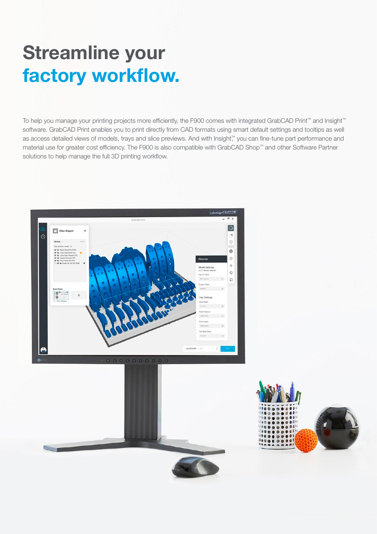# Streamline your factory workflow.

To help you manage your printing projects more efficiently, the F900 comes with integrated GrabCAD Print™ and Insight™ software. GrabCAD Print enables you to print directly from CAD formats using smart default settings and tooltips as well as access detailed views of models, trays and slice previews. And with Insight™ you can fine-tune part performance and material use for greater cost efficiency. The F900 is also compatible with GrabCAD Shop™ and other Software Partner solutions to help manage the full 3D printing workflow.





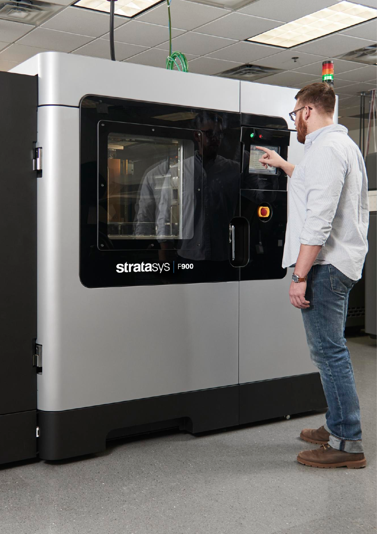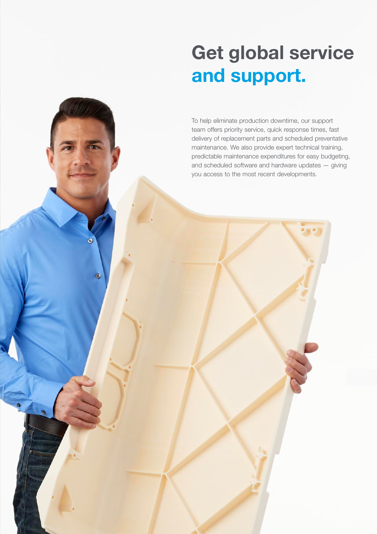## Get global service and support.

To help eliminate production downtime, our support team offers priority service, quick response times, fast delivery of replacement parts and scheduled preventative maintenance. We also provide expert technical training, predictable maintenance expenditures for easy budgeting, and scheduled software and hardware updates — giving you access to the most recent developments.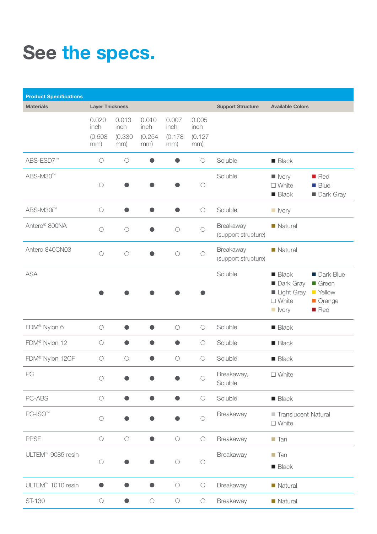## See the specs.

| <b>Product Specifications</b> |                                 |                                 |                                 |                                 |                                 |                                  |                                                                                                                                                     |
|-------------------------------|---------------------------------|---------------------------------|---------------------------------|---------------------------------|---------------------------------|----------------------------------|-----------------------------------------------------------------------------------------------------------------------------------------------------|
| <b>Materials</b>              | <b>Layer Thickness</b>          |                                 |                                 |                                 |                                 | <b>Support Structure</b>         | <b>Available Colors</b>                                                                                                                             |
|                               | 0.020<br>inch<br>(0.508)<br>mm) | 0.013<br>inch<br>(0.330)<br>mm) | 0.010<br>inch<br>(0.254)<br>mm) | 0.007<br>inch<br>(0.178)<br>mm) | 0.005<br>inch<br>(0.127)<br>mm) |                                  |                                                                                                                                                     |
| ABS-ESD7™                     | $\bigcirc$                      | $\bigcirc$                      | $\bullet$                       | $\bullet$                       | $\bigcirc$                      | Soluble                          | <b>Black</b>                                                                                                                                        |
| ABS-M30™                      | $\bigcirc$                      |                                 |                                 |                                 | $\bigcirc$                      | Soluble                          | $\blacksquare$ Red<br>$\blacksquare$ Ivory<br>□ White<br><b>Blue</b><br><b>Black</b><br>Dark Gray                                                   |
| ABS-M30i™                     | $\bigcirc$                      | O                               | 0                               | D                               | $\bigcirc$                      | Soluble                          | $\blacksquare$ Ivory                                                                                                                                |
| Antero <sup>®</sup> 800NA     | $\bigcirc$                      | $\bigcirc$                      |                                 | $\bigcirc$                      | $\bigcirc$                      | Breakaway<br>(support structure) | Natural                                                                                                                                             |
| Antero 840CN03                | $\bigcirc$                      | $\bigcirc$                      |                                 | $\bigcirc$                      | $\bigcirc$                      | Breakaway<br>(support structure) | Natural                                                                                                                                             |
| <b>ASA</b>                    |                                 |                                 |                                 |                                 |                                 | Soluble                          | <b>Black</b><br>Dark Blue<br>Dark Gray<br>Green<br>Light Gray<br><b>N</b> Yellow<br>$\square$ White<br>Orange<br><b>Red</b><br>$\blacksquare$ Ivory |
| FDM® Nylon 6                  | $\bigcirc$                      | o                               | 0                               | $\bigcirc$                      | $\bigcirc$                      | Soluble                          | <b>Black</b>                                                                                                                                        |
| FDM® Nylon 12                 | $\bigcirc$                      | 0                               | 0                               | $\bullet$                       | $\bigcirc$                      | Soluble                          | <b>Black</b>                                                                                                                                        |
| FDM® Nylon 12CF               | $\bigcirc$                      | $\bigcirc$                      | $\bullet$                       | $\bigcirc$                      | $\bigcirc$                      | Soluble                          | <b>Black</b>                                                                                                                                        |
| ${\sf PC}$                    | $\bigcirc$                      |                                 |                                 |                                 | $\bigcirc$                      | Breakaway,<br>Soluble            | $\Box$ White                                                                                                                                        |
| PC-ABS                        | $\bigcirc$                      |                                 |                                 |                                 | $\bigcirc$                      | Soluble                          | <b>Black</b>                                                                                                                                        |
| PC-ISO <sup>™</sup>           | $\bigcirc$                      |                                 |                                 |                                 | $\bigcirc$                      | Breakaway                        | Translucent Natural<br>$\square$ White                                                                                                              |
| <b>PPSF</b>                   | $\bigcirc$                      | $\bigcirc$                      | ●                               | $\bigcirc$                      | $\bigcirc$                      | Breakaway                        | $\blacksquare$ Tan                                                                                                                                  |
| ULTEM™ 9085 resin             | $\bigcirc$                      |                                 |                                 | $\bigcirc$                      | $\bigcirc$                      | Breakaway                        | $\blacksquare$ Tan<br><b>Black</b>                                                                                                                  |
| ULTEM™ 1010 resin             |                                 |                                 | 0                               | $\bigcirc$                      | $\bigcirc$                      | Breakaway                        | Natural                                                                                                                                             |
| ST-130                        | $\bigcirc$                      | $\bullet$                       | $\bigcirc$                      | $\bigcirc$                      | $\bigcirc$                      | Breakaway                        | Natural                                                                                                                                             |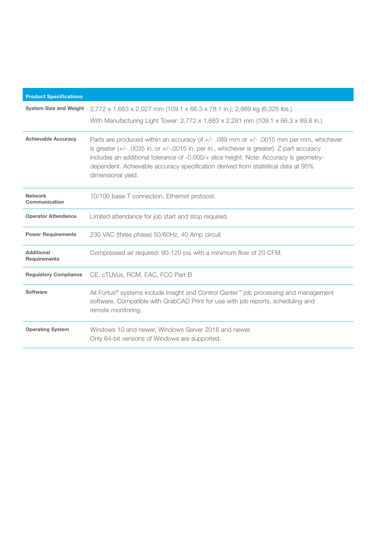| <b>Product Specifications</b>            |                                                                                                                                                                                                                                                                                                                                                                                                   |  |  |  |  |
|------------------------------------------|---------------------------------------------------------------------------------------------------------------------------------------------------------------------------------------------------------------------------------------------------------------------------------------------------------------------------------------------------------------------------------------------------|--|--|--|--|
| <b>System Size and Weight</b>            | 2,772 x 1,683 x 2,027 mm (109.1 x 66.3 x 78.1 in.); 2,869 kg (6,325 lbs.)<br>With Manufacturing Light Tower: 2,772 x 1,683 x 2,281 mm (109.1 x 66.3 x 89.8 in.)                                                                                                                                                                                                                                   |  |  |  |  |
| <b>Achievable Accuracy</b>               | Parts are produced within an accuracy of $+/-$ .089 mm or $+/-$ .0015 mm per mm, whichever<br>is greater $(+/-$ .0035 in. or $+/-$ .0015 in. per in., whichever is greater). Z part accuracy<br>includes an additional tolerance of -0.000/+ slice height. Note: Accuracy is geometry-<br>dependent. Achievable accuracy specification derived from statistical data at 95%<br>dimensional yield. |  |  |  |  |
| <b>Network</b><br>Communication          | 10/100 base T connection. Ethernet protocol.                                                                                                                                                                                                                                                                                                                                                      |  |  |  |  |
| <b>Operator Attendance</b>               | Limited attendance for job start and stop required.                                                                                                                                                                                                                                                                                                                                               |  |  |  |  |
| <b>Power Requirements</b>                | 230 VAC (three phase) 50/60Hz, 40 Amp circuit                                                                                                                                                                                                                                                                                                                                                     |  |  |  |  |
| <b>Additional</b><br><b>Requirements</b> | Compressed air required: 90-120 psi with a minimum flow of 20 CFM.                                                                                                                                                                                                                                                                                                                                |  |  |  |  |
| <b>Regulatory Compliance</b>             | CE, cTUVus, RCM, EAC, FCC Part B                                                                                                                                                                                                                                                                                                                                                                  |  |  |  |  |
| <b>Software</b>                          | All Fortus® systems include Insight and Control Center™ job processing and management<br>software. Compatible with GrabCAD Print for use with job reports, scheduling and<br>remote monitoring.                                                                                                                                                                                                   |  |  |  |  |
| <b>Operating System</b>                  | Windows 10 and newer, Windows Server 2016 and newer.<br>Only 64-bit versions of Windows are supported.                                                                                                                                                                                                                                                                                            |  |  |  |  |